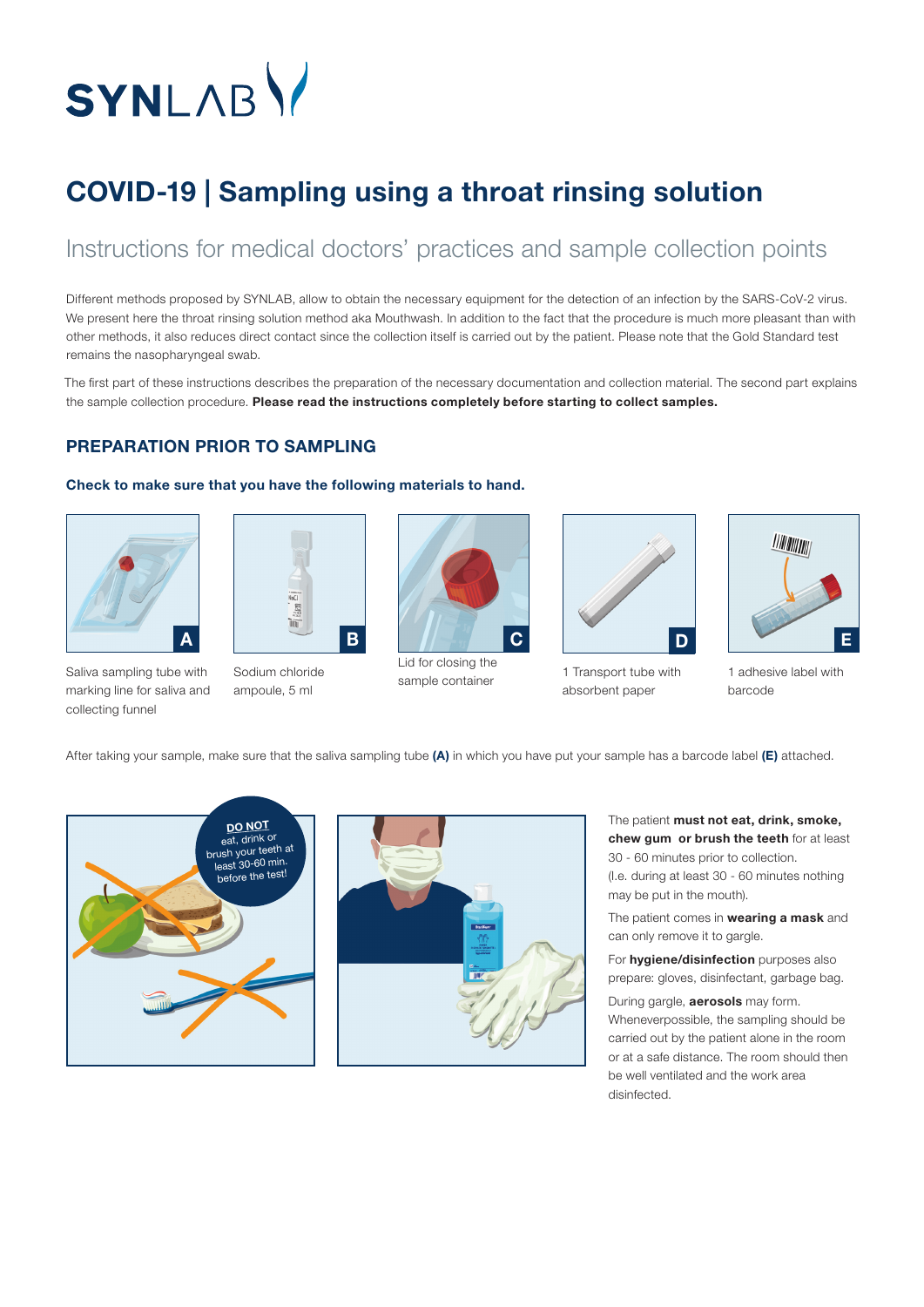# SYNLABY

## COVID-19 | Sampling using a throat rinsing solution

### Instructions for medical doctors' practices and sample collection points

Different methods proposed by SYNLAB, allow to obtain the necessary equipment for the detection of an infection by the SARS-CoV-2 virus. We present here the throat rinsing solution method aka Mouthwash. In addition to the fact that the procedure is much more pleasant than with other methods, it also reduces direct contact since the collection itself is carried out by the patient. Please note that the Gold Standard test remains the nasopharyngeal swab.

The first part of these instructions describes the preparation of the necessary documentation and collection material. The second part explains the sample collection procedure. Please read the instructions completely before starting to collect samples.

#### PREPARATION PRIOR TO SAMPLING

#### Check to make sure that you have the following materials to hand.





Saliva sampling tube with marking line for saliva and collecting funnel

Sodium chloride ampoule, 5 ml



Lid for closing the sample container



1 Transport tube with absorbent paper



1 adhesive label with barcode

After taking your sample, make sure that the saliva sampling tube (A) in which you have put your sample has a barcode label (E) attached.





The patient must not eat, drink, smoke, chew gum or brush the teeth for at least 30 - 60 minutes prior to collection.

(I.e. during at least 30 - 60 minutes nothing may be put in the mouth).

The patient comes in wearing a mask and can only remove it to gargle.

For **hygiene/disinfection** purposes also prepare: gloves, disinfectant, garbage bag.

During gargle, **aerosols** may form. Wheneverpossible, the sampling should be carried out by the patient alone in the room or at a safe distance. The room should then be well ventilated and the work area disinfected.